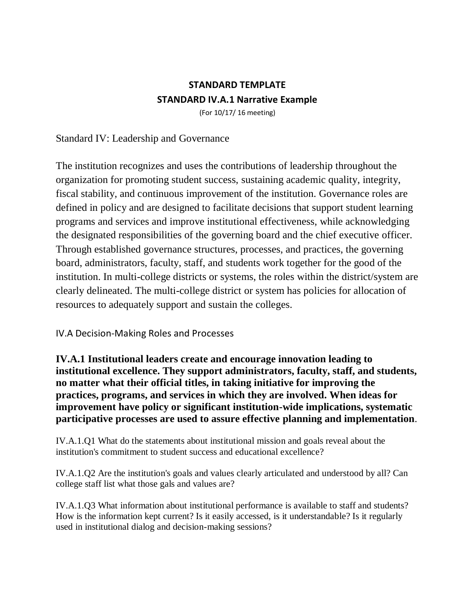## **STANDARD TEMPLATE STANDARD IV.A.1 Narrative Example**

(For 10/17/ 16 meeting)

Standard IV: Leadership and Governance

The institution recognizes and uses the contributions of leadership throughout the organization for promoting student success, sustaining academic quality, integrity, fiscal stability, and continuous improvement of the institution. Governance roles are defined in policy and are designed to facilitate decisions that support student learning programs and services and improve institutional effectiveness, while acknowledging the designated responsibilities of the governing board and the chief executive officer. Through established governance structures, processes, and practices, the governing board, administrators, faculty, staff, and students work together for the good of the institution. In multi-college districts or systems, the roles within the district/system are clearly delineated. The multi-college district or system has policies for allocation of resources to adequately support and sustain the colleges.

IV.A Decision-Making Roles and Processes

**IV.A.1 Institutional leaders create and encourage innovation leading to institutional excellence. They support administrators, faculty, staff, and students, no matter what their official titles, in taking initiative for improving the practices, programs, and services in which they are involved. When ideas for improvement have policy or significant institution-wide implications, systematic participative processes are used to assure effective planning and implementation**.

IV.A.1.Q1 What do the statements about institutional mission and goals reveal about the institution's commitment to student success and educational excellence?

IV.A.1.Q2 Are the institution's goals and values clearly articulated and understood by all? Can college staff list what those gals and values are?

IV.A.1.Q3 What information about institutional performance is available to staff and students? How is the information kept current? Is it easily accessed, is it understandable? Is it regularly used in institutional dialog and decision-making sessions?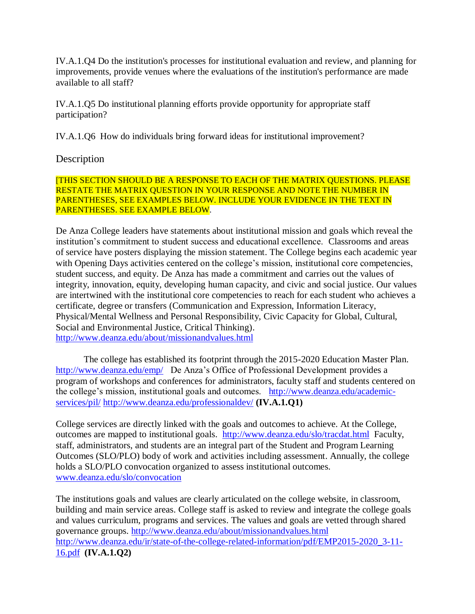IV.A.1.Q4 Do the institution's processes for institutional evaluation and review, and planning for improvements, provide venues where the evaluations of the institution's performance are made available to all staff?

IV.A.1.Q5 Do institutional planning efforts provide opportunity for appropriate staff participation?

IV.A.1.Q6 How do individuals bring forward ideas for institutional improvement?

## Description

[THIS SECTION SHOULD BE A RESPONSE TO EACH OF THE MATRIX QUESTIONS. PLEASE RESTATE THE MATRIX QUESTION IN YOUR RESPONSE AND NOTE THE NUMBER IN PARENTHESES, SEE EXAMPLES BELOW. INCLUDE YOUR EVIDENCE IN THE TEXT IN PARENTHESES. SEE EXAMPLE BELOW.

De Anza College leaders have statements about institutional mission and goals which reveal the institution's commitment to student success and educational excellence. Classrooms and areas of service have posters displaying the mission statement. The College begins each academic year with Opening Days activities centered on the college's mission, institutional core competencies, student success, and equity. De Anza has made a commitment and carries out the values of integrity, innovation, equity, developing human capacity, and civic and social justice. Our values are intertwined with the institutional core competencies to reach for each student who achieves a certificate, degree or transfers (Communication and Expression, Information Literacy, Physical/Mental Wellness and Personal Responsibility, Civic Capacity for Global, Cultural, Social and Environmental Justice, Critical Thinking). <http://www.deanza.edu/about/missionandvalues.html>

The college has established its footprint through the 2015-2020 Education Master Plan. <http://www.deanza.edu/emp/> De Anza's Office of Professional Development provides a program of workshops and conferences for administrators, faculty staff and students centered on the college's mission, institutional goals and outcomes. [http://www.deanza.edu/academic](http://www.deanza.edu/academic-services/pil/)[services/pil/](http://www.deanza.edu/academic-services/pil/) <http://www.deanza.edu/professionaldev/> **(IV.A.1.Q1)**

College services are directly linked with the goals and outcomes to achieve. At the College, outcomes are mapped to institutional goals. <http://www.deanza.edu/slo/tracdat.html> Faculty, staff, administrators, and students are an integral part of the Student and Program Learning Outcomes (SLO/PLO) body of work and activities including assessment. Annually, the college holds a SLO/PLO convocation organized to assess institutional outcomes. [www.deanza.edu/slo/convocation](http://www.deanza.edu/slo/convocation)

The institutions goals and values are clearly articulated on the college website, in classroom, building and main service areas. College staff is asked to review and integrate the college goals and values curriculum, programs and services. The values and goals are vetted through shared governance groups.<http://www.deanza.edu/about/missionandvalues.html> [http://www.deanza.edu/ir/state-of-the-college-related-information/pdf/EMP2015-2020\\_3-11-](http://www.deanza.edu/ir/state-of-the-college-related-information/pdf/EMP2015-2020_3-11-16.pdf) [16.pdf](http://www.deanza.edu/ir/state-of-the-college-related-information/pdf/EMP2015-2020_3-11-16.pdf) **(IV.A.1.Q2)**